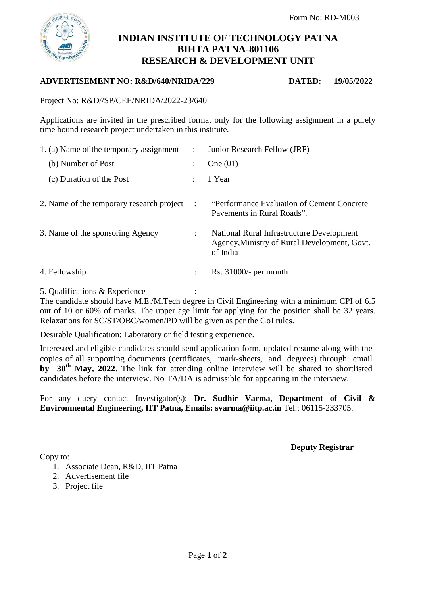

# **INDIAN INSTITUTE OF TECHNOLOGY PATNA BIHTA PATNA-801106 RESEARCH & DEVELOPMENT UNIT**

#### **ADVERTISEMENT NO: R&D/640/NRIDA/229 DATED: 19/05/2022**

Project No: R&D//SP/CEE/NRIDA/2022-23/640

Applications are invited in the prescribed format only for the following assignment in a purely time bound research project undertaken in this institute.

| 1. (a) Name of the temporary assignment   |                      | Junior Research Fellow (JRF)                                                                          |
|-------------------------------------------|----------------------|-------------------------------------------------------------------------------------------------------|
| (b) Number of Post                        |                      | One $(01)$                                                                                            |
| (c) Duration of the Post                  |                      | 1 Year                                                                                                |
| 2. Name of the temporary research project | $\ddot{\cdot}$       | "Performance Evaluation of Cement Concrete"<br>Pavements in Rural Roads".                             |
| 3. Name of the sponsoring Agency          | $\ddot{\phantom{0}}$ | National Rural Infrastructure Development<br>Agency, Ministry of Rural Development, Govt.<br>of India |
| 4. Fellowship                             | ÷                    | Rs. $31000/-$ per month                                                                               |

5. Qualifications & Experience :

The candidate should have M.E./M.Tech degree in Civil Engineering with a minimum CPI of 6.5 out of 10 or 60% of marks. The upper age limit for applying for the position shall be 32 years. Relaxations for SC/ST/OBC/women/PD will be given as per the GoI rules.

Desirable Qualification: Laboratory or field testing experience.

Interested and eligible candidates should send application form, updated resume along with the copies of all supporting documents (certificates, mark-sheets, and degrees) through email **by 30th May, 2022**. The link for attending online interview will be shared to shortlisted candidates before the interview. No TA/DA is admissible for appearing in the interview.

For any query contact Investigator(s): **Dr. Sudhir Varma, Department of Civil & Environmental Engineering, IIT Patna, Emails: svarma@iitp.ac.in** Tel.: 06115-233705.

**Deputy Registrar**

Copy to:

- 1. Associate Dean, R&D, IIT Patna
- 2. Advertisement file
- 3. Project file